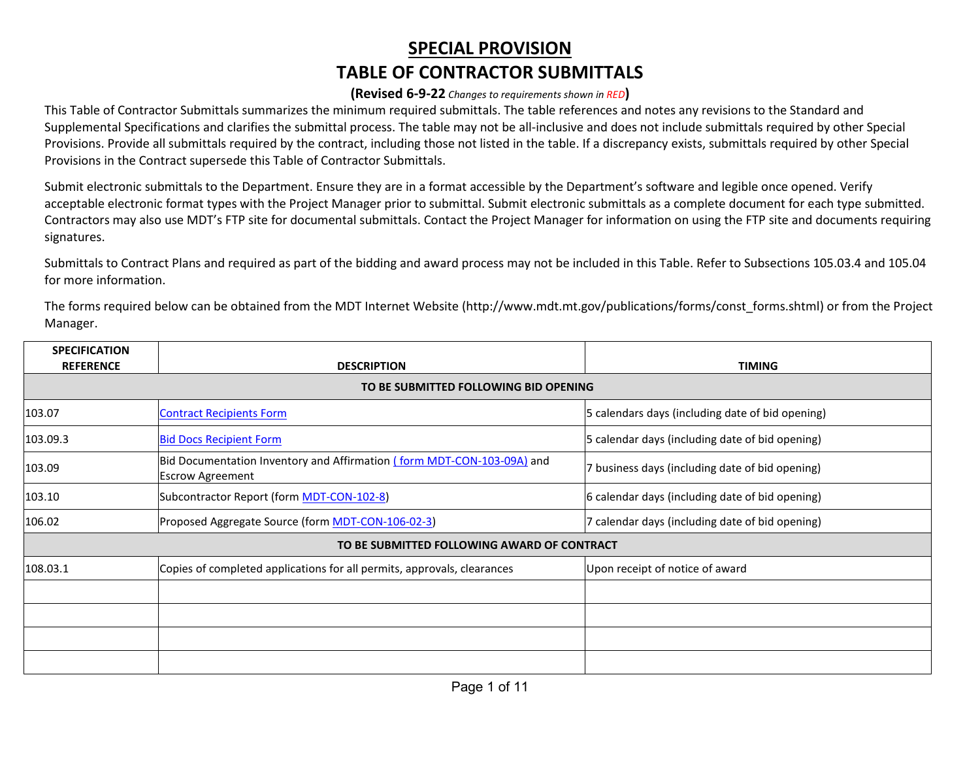## **SPECIAL PROVISION TABLE OF CONTRACTOR SUBMITTALS**

## **(Revised 6-9-22** *Changes to requirements shown in RED***)**

This Table of Contractor Submittals summarizes the minimum required submittals. The table references and notes any revisions to the Standard and Supplemental Specifications and clarifies the submittal process. The table may not be all-inclusive and does not include submittals required by other Special Provisions. Provide all submittals required by the contract, including those not listed in the table. If a discrepancy exists, submittals required by other Special Provisions in the Contract supersede this Table of Contractor Submittals.

Submit electronic submittals to the Department. Ensure they are in a format accessible by the Department's software and legible once opened. Verify acceptable electronic format types with the Project Manager prior to submittal. Submit electronic submittals as a complete document for each type submitted. Contractors may also use MDT's FTP site for documental submittals. Contact the Project Manager for information on using the FTP site and documents requiring signatures.

Submittals to Contract Plans and required as part of the bidding and award process may not be included in this Table. Refer to Subsections 105.03.4 and 105.04 for more information.

The forms required below can be obtained from the MDT Internet Website [\(http://www.mdt.mt.gov/publications/forms/const\\_forms.shtml\)](http://www.mdt.mt.gov/publications/forms/const_forms.shtml) or from the Project Manager.

| <b>SPECIFICATION</b> |                                                                                                   |                                                  |
|----------------------|---------------------------------------------------------------------------------------------------|--------------------------------------------------|
| <b>REFERENCE</b>     | <b>DESCRIPTION</b><br>TO BE SUBMITTED FOLLOWING BID OPENING                                       | <b>TIMING</b>                                    |
|                      |                                                                                                   |                                                  |
| 103.07               | <b>Contract Recipients Form</b>                                                                   | 5 calendars days (including date of bid opening) |
| 103.09.3             | <b>Bid Docs Recipient Form</b>                                                                    | 5 calendar days (including date of bid opening)  |
| 103.09               | Bid Documentation Inventory and Affirmation (form MDT-CON-103-09A) and<br><b>Escrow Agreement</b> | 7 business days (including date of bid opening)  |
| 103.10               | Subcontractor Report (form MDT-CON-102-8)                                                         | 6 calendar days (including date of bid opening)  |
| 106.02               | Proposed Aggregate Source (form MDT-CON-106-02-3)                                                 | 7 calendar days (including date of bid opening)  |
|                      | TO BE SUBMITTED FOLLOWING AWARD OF CONTRACT                                                       |                                                  |
| 108.03.1             | Copies of completed applications for all permits, approvals, clearances                           | Upon receipt of notice of award                  |
|                      |                                                                                                   |                                                  |
|                      |                                                                                                   |                                                  |
|                      |                                                                                                   |                                                  |
|                      |                                                                                                   |                                                  |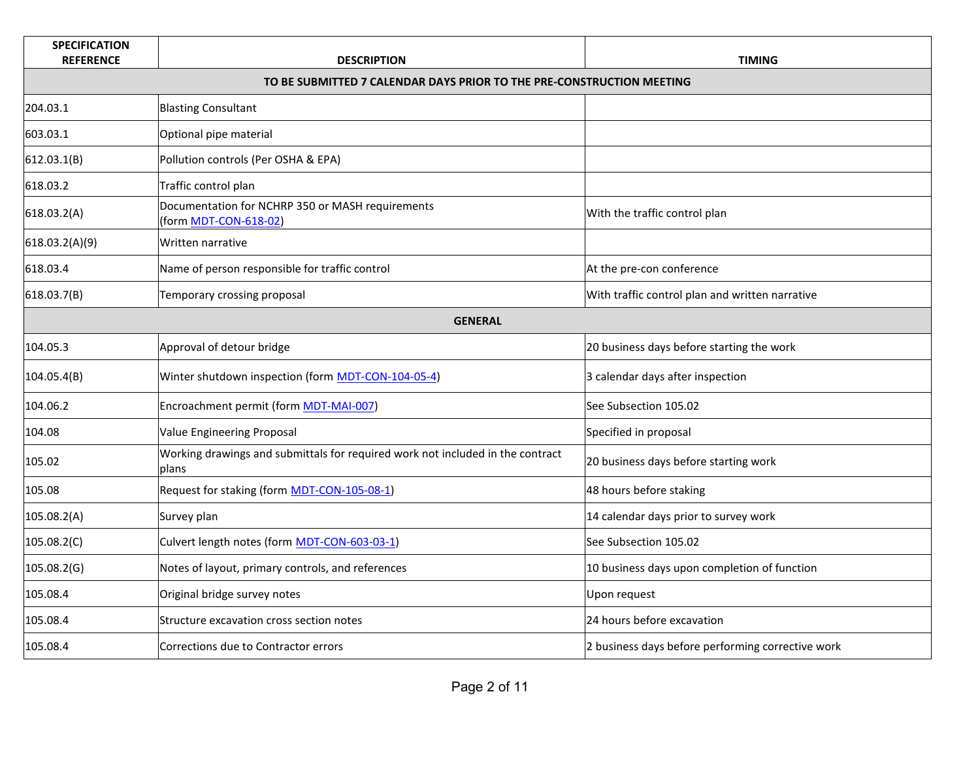| <b>SPECIFICATION</b><br><b>REFERENCE</b>                              | <b>DESCRIPTION</b>                                                                      | <b>TIMING</b>                                     |
|-----------------------------------------------------------------------|-----------------------------------------------------------------------------------------|---------------------------------------------------|
| TO BE SUBMITTED 7 CALENDAR DAYS PRIOR TO THE PRE-CONSTRUCTION MEETING |                                                                                         |                                                   |
| 204.03.1                                                              | <b>Blasting Consultant</b>                                                              |                                                   |
| 603.03.1                                                              | Optional pipe material                                                                  |                                                   |
| 612.03.1(B)                                                           | Pollution controls (Per OSHA & EPA)                                                     |                                                   |
| 618.03.2                                                              | Traffic control plan                                                                    |                                                   |
| 618.03.2(A)                                                           | Documentation for NCHRP 350 or MASH requirements<br>(form MDT-CON-618-02)               | With the traffic control plan                     |
| 618.03.2(A)(9)                                                        | Written narrative                                                                       |                                                   |
| 618.03.4                                                              | Name of person responsible for traffic control                                          | At the pre-con conference                         |
| 618.03.7(B)                                                           | Temporary crossing proposal                                                             | With traffic control plan and written narrative   |
|                                                                       | <b>GENERAL</b>                                                                          |                                                   |
| 104.05.3                                                              | Approval of detour bridge                                                               | 20 business days before starting the work         |
| 104.05.4(B)                                                           | Winter shutdown inspection (form MDT-CON-104-05-4)                                      | 3 calendar days after inspection                  |
| 104.06.2                                                              | Encroachment permit (form MDT-MAI-007)                                                  | See Subsection 105.02                             |
| 104.08                                                                | Value Engineering Proposal                                                              | Specified in proposal                             |
| 105.02                                                                | Working drawings and submittals for required work not included in the contract<br>plans | 20 business days before starting work             |
| 105.08                                                                | Request for staking (form MDT-CON-105-08-1)                                             | 48 hours before staking                           |
| 105.08.2(A)                                                           | Survey plan                                                                             | 14 calendar days prior to survey work             |
| 105.08.2(C)                                                           | Culvert length notes (form MDT-CON-603-03-1)                                            | See Subsection 105.02                             |
| 105.08.2(G)                                                           | Notes of layout, primary controls, and references                                       | 10 business days upon completion of function      |
| 105.08.4                                                              | Original bridge survey notes                                                            | Upon request                                      |
| 105.08.4                                                              | Structure excavation cross section notes                                                | 24 hours before excavation                        |
| 105.08.4                                                              | Corrections due to Contractor errors                                                    | 2 business days before performing corrective work |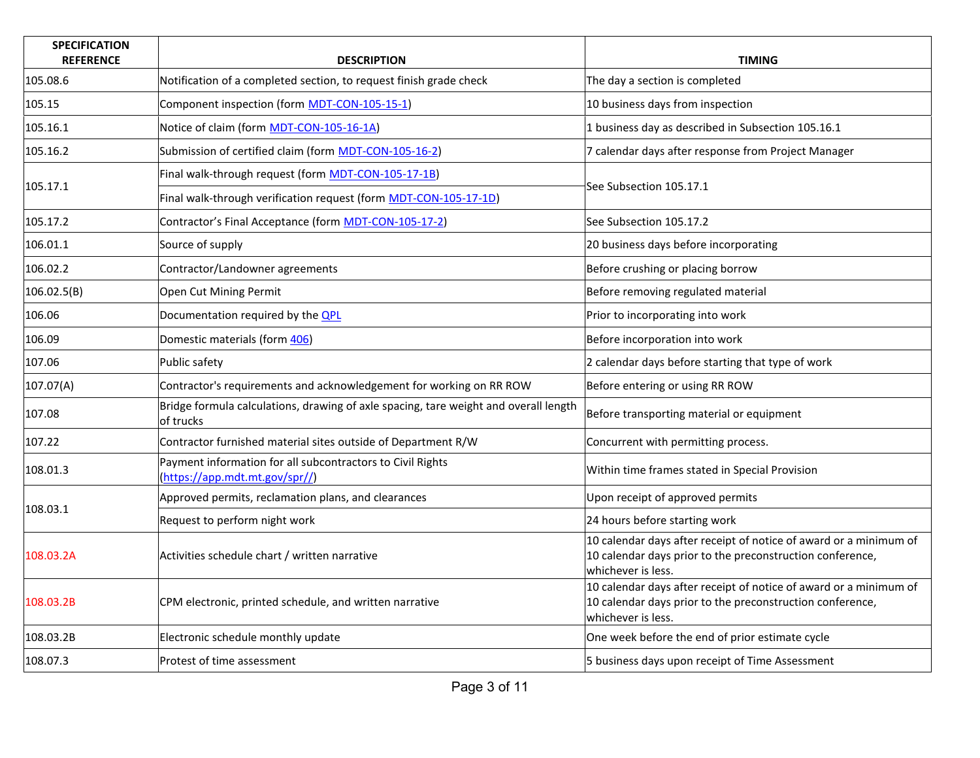| <b>SPECIFICATION</b><br><b>REFERENCE</b> | <b>DESCRIPTION</b>                                                                                | <b>TIMING</b>                                                                                                                                        |
|------------------------------------------|---------------------------------------------------------------------------------------------------|------------------------------------------------------------------------------------------------------------------------------------------------------|
| 105.08.6                                 | Notification of a completed section, to request finish grade check                                | The day a section is completed                                                                                                                       |
| 105.15                                   | Component inspection (form MDT-CON-105-15-1)                                                      | 10 business days from inspection                                                                                                                     |
| 105.16.1                                 | Notice of claim (form MDT-CON-105-16-1A)                                                          | 1 business day as described in Subsection 105.16.1                                                                                                   |
| 105.16.2                                 | Submission of certified claim (form MDT-CON-105-16-2)                                             | 7 calendar days after response from Project Manager                                                                                                  |
|                                          | Final walk-through request (form MDT-CON-105-17-1B)                                               |                                                                                                                                                      |
| 105.17.1                                 | Final walk-through verification request (form MDT-CON-105-17-1D)                                  | See Subsection 105.17.1                                                                                                                              |
| 105.17.2                                 | Contractor's Final Acceptance (form MDT-CON-105-17-2)                                             | See Subsection 105.17.2                                                                                                                              |
| 106.01.1                                 | Source of supply                                                                                  | 20 business days before incorporating                                                                                                                |
| 106.02.2                                 | Contractor/Landowner agreements                                                                   | Before crushing or placing borrow                                                                                                                    |
| 106.02.5(B)                              | Open Cut Mining Permit                                                                            | Before removing regulated material                                                                                                                   |
| 106.06                                   | Documentation required by the <b>QPL</b>                                                          | Prior to incorporating into work                                                                                                                     |
| 106.09                                   | Domestic materials (form 406)                                                                     | Before incorporation into work                                                                                                                       |
| 107.06                                   | Public safety                                                                                     | 2 calendar days before starting that type of work                                                                                                    |
| 107.07(A)                                | Contractor's requirements and acknowledgement for working on RR ROW                               | Before entering or using RR ROW                                                                                                                      |
| 107.08                                   | Bridge formula calculations, drawing of axle spacing, tare weight and overall length<br>of trucks | Before transporting material or equipment                                                                                                            |
| 107.22                                   | Contractor furnished material sites outside of Department R/W                                     | Concurrent with permitting process.                                                                                                                  |
| 108.01.3                                 | Payment information for all subcontractors to Civil Rights<br>(https://app.mdt.mt.gov/spr//)      | Within time frames stated in Special Provision                                                                                                       |
| 108.03.1                                 | Approved permits, reclamation plans, and clearances                                               | Upon receipt of approved permits                                                                                                                     |
|                                          | Request to perform night work                                                                     | 24 hours before starting work                                                                                                                        |
| 108.03.2A                                | Activities schedule chart / written narrative                                                     | 10 calendar days after receipt of notice of award or a minimum of<br>10 calendar days prior to the preconstruction conference,<br>whichever is less. |
| 108.03.2B                                | CPM electronic, printed schedule, and written narrative                                           | 10 calendar days after receipt of notice of award or a minimum of<br>10 calendar days prior to the preconstruction conference,<br>whichever is less. |
| 108.03.2B                                | Electronic schedule monthly update                                                                | One week before the end of prior estimate cycle                                                                                                      |
| 108.07.3                                 | Protest of time assessment                                                                        | 5 business days upon receipt of Time Assessment                                                                                                      |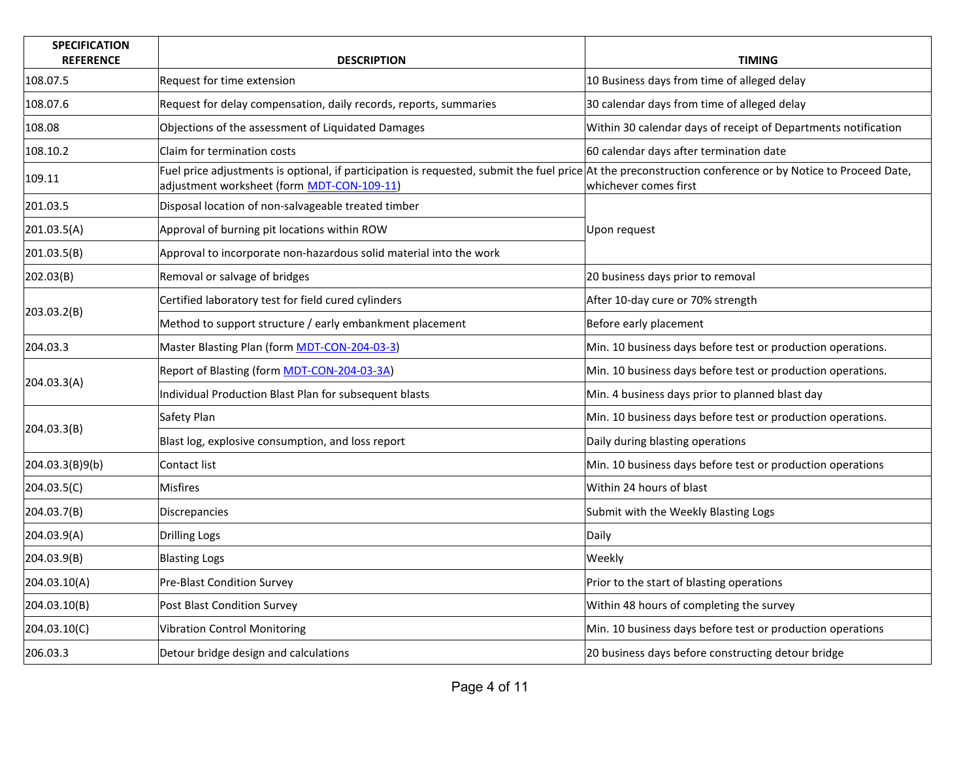| <b>SPECIFICATION</b><br><b>REFERENCE</b> | <b>DESCRIPTION</b>                                                                                                                                                                                     | <b>TIMING</b>                                                  |
|------------------------------------------|--------------------------------------------------------------------------------------------------------------------------------------------------------------------------------------------------------|----------------------------------------------------------------|
| 108.07.5                                 | Request for time extension                                                                                                                                                                             | 10 Business days from time of alleged delay                    |
| 108.07.6                                 | Request for delay compensation, daily records, reports, summaries                                                                                                                                      | 30 calendar days from time of alleged delay                    |
| 108.08                                   | Objections of the assessment of Liquidated Damages                                                                                                                                                     | Within 30 calendar days of receipt of Departments notification |
| 108.10.2                                 | Claim for termination costs                                                                                                                                                                            | 60 calendar days after termination date                        |
| 109.11                                   | Fuel price adjustments is optional, if participation is requested, submit the fuel price At the preconstruction conference or by Notice to Proceed Date,<br>adjustment worksheet (form MDT-CON-109-11) | whichever comes first                                          |
| 201.03.5                                 | Disposal location of non-salvageable treated timber                                                                                                                                                    |                                                                |
| 201.03.5(A)                              | Approval of burning pit locations within ROW                                                                                                                                                           | Upon request                                                   |
| 201.03.5(B)                              | Approval to incorporate non-hazardous solid material into the work                                                                                                                                     |                                                                |
| 202.03(B)                                | Removal or salvage of bridges                                                                                                                                                                          | 20 business days prior to removal                              |
|                                          | Certified laboratory test for field cured cylinders                                                                                                                                                    | After 10-day cure or 70% strength                              |
| 203.03.2(B)                              | Method to support structure / early embankment placement                                                                                                                                               | Before early placement                                         |
| 204.03.3                                 | Master Blasting Plan (form MDT-CON-204-03-3)                                                                                                                                                           | Min. 10 business days before test or production operations.    |
|                                          | Report of Blasting (form MDT-CON-204-03-3A)                                                                                                                                                            | Min. 10 business days before test or production operations.    |
| 204.03.3(A)                              | Individual Production Blast Plan for subsequent blasts                                                                                                                                                 | Min. 4 business days prior to planned blast day                |
|                                          | Safety Plan                                                                                                                                                                                            | Min. 10 business days before test or production operations.    |
| 204.03.3(B)                              | Blast log, explosive consumption, and loss report                                                                                                                                                      | Daily during blasting operations                               |
| 204.03.3(B)9(b)                          | Contact list                                                                                                                                                                                           | Min. 10 business days before test or production operations     |
| 204.03.5(C)                              | <b>Misfires</b>                                                                                                                                                                                        | Within 24 hours of blast                                       |
| 204.03.7(B)                              | Discrepancies                                                                                                                                                                                          | Submit with the Weekly Blasting Logs                           |
| 204.03.9(A)                              | <b>Drilling Logs</b>                                                                                                                                                                                   | Daily                                                          |
| 204.03.9(B)                              | <b>Blasting Logs</b>                                                                                                                                                                                   | Weekly                                                         |
| 204.03.10(A)                             | Pre-Blast Condition Survey                                                                                                                                                                             | Prior to the start of blasting operations                      |
| 204.03.10(B)                             | Post Blast Condition Survey                                                                                                                                                                            | Within 48 hours of completing the survey                       |
| 204.03.10(C)                             | <b>Vibration Control Monitoring</b>                                                                                                                                                                    | Min. 10 business days before test or production operations     |
| 206.03.3                                 | Detour bridge design and calculations                                                                                                                                                                  | 20 business days before constructing detour bridge             |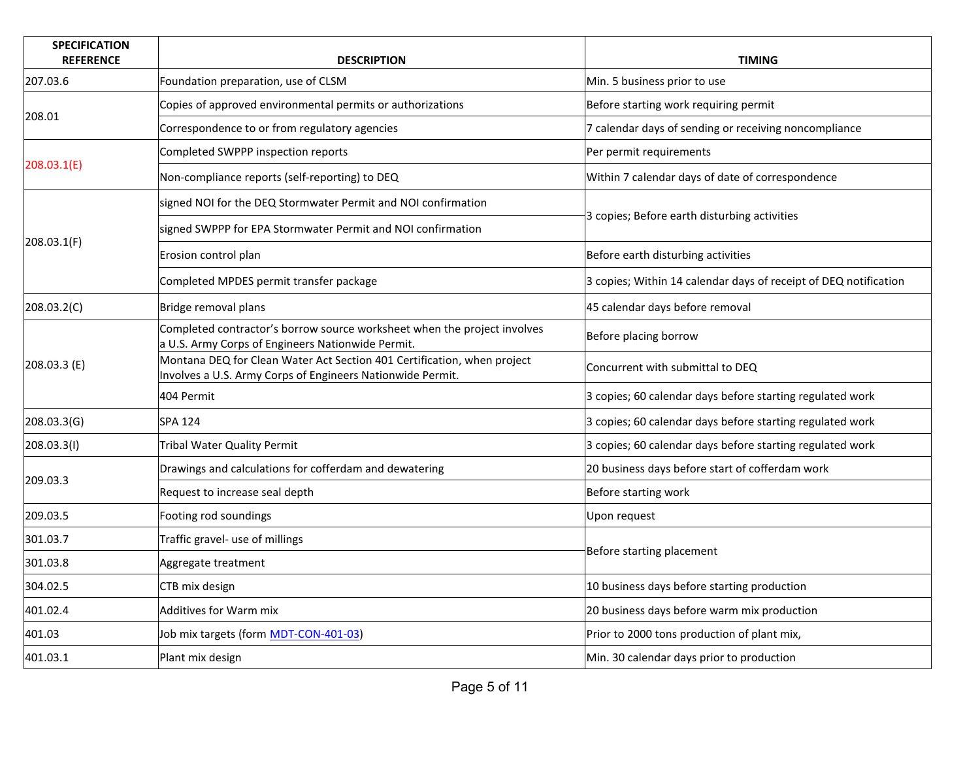| <b>SPECIFICATION</b><br><b>REFERENCE</b> | <b>DESCRIPTION</b>                                                                                                                    | <b>TIMING</b>                                                    |
|------------------------------------------|---------------------------------------------------------------------------------------------------------------------------------------|------------------------------------------------------------------|
| 207.03.6                                 | Foundation preparation, use of CLSM                                                                                                   | Min. 5 business prior to use                                     |
|                                          | Copies of approved environmental permits or authorizations                                                                            | Before starting work requiring permit                            |
| 208.01                                   | Correspondence to or from regulatory agencies                                                                                         | 7 calendar days of sending or receiving noncompliance            |
|                                          | Completed SWPPP inspection reports                                                                                                    | Per permit requirements                                          |
| 208.03.1(E)                              | Non-compliance reports (self-reporting) to DEQ                                                                                        | Within 7 calendar days of date of correspondence                 |
|                                          | signed NOI for the DEQ Stormwater Permit and NOI confirmation                                                                         |                                                                  |
|                                          | signed SWPPP for EPA Stormwater Permit and NOI confirmation                                                                           | 3 copies; Before earth disturbing activities                     |
| 208.03.1(F)                              | Erosion control plan                                                                                                                  | Before earth disturbing activities                               |
|                                          | Completed MPDES permit transfer package                                                                                               | 3 copies; Within 14 calendar days of receipt of DEQ notification |
| 208.03.2(C)                              | Bridge removal plans                                                                                                                  | 45 calendar days before removal                                  |
|                                          | Completed contractor's borrow source worksheet when the project involves<br>a U.S. Army Corps of Engineers Nationwide Permit.         | Before placing borrow                                            |
| 208.03.3 (E)                             | Montana DEQ for Clean Water Act Section 401 Certification, when project<br>Involves a U.S. Army Corps of Engineers Nationwide Permit. | Concurrent with submittal to DEQ                                 |
|                                          | 404 Permit                                                                                                                            | 3 copies; 60 calendar days before starting regulated work        |
| 208.03.3(G)                              | <b>SPA 124</b>                                                                                                                        | 3 copies; 60 calendar days before starting regulated work        |
| 208.03.3(1)                              | <b>Tribal Water Quality Permit</b>                                                                                                    | 3 copies; 60 calendar days before starting regulated work        |
|                                          | Drawings and calculations for cofferdam and dewatering                                                                                | 20 business days before start of cofferdam work                  |
| 209.03.3                                 | Request to increase seal depth                                                                                                        | Before starting work                                             |
| 209.03.5                                 | Footing rod soundings                                                                                                                 | Upon request                                                     |
| 301.03.7                                 | Traffic gravel- use of millings                                                                                                       |                                                                  |
| 301.03.8                                 | Aggregate treatment                                                                                                                   | Before starting placement                                        |
| 304.02.5                                 | CTB mix design                                                                                                                        | 10 business days before starting production                      |
| 401.02.4                                 | <b>Additives for Warm mix</b>                                                                                                         | 20 business days before warm mix production                      |
| 401.03                                   | Job mix targets (form MDT-CON-401-03)                                                                                                 | Prior to 2000 tons production of plant mix,                      |
| 401.03.1                                 | Plant mix design                                                                                                                      | Min. 30 calendar days prior to production                        |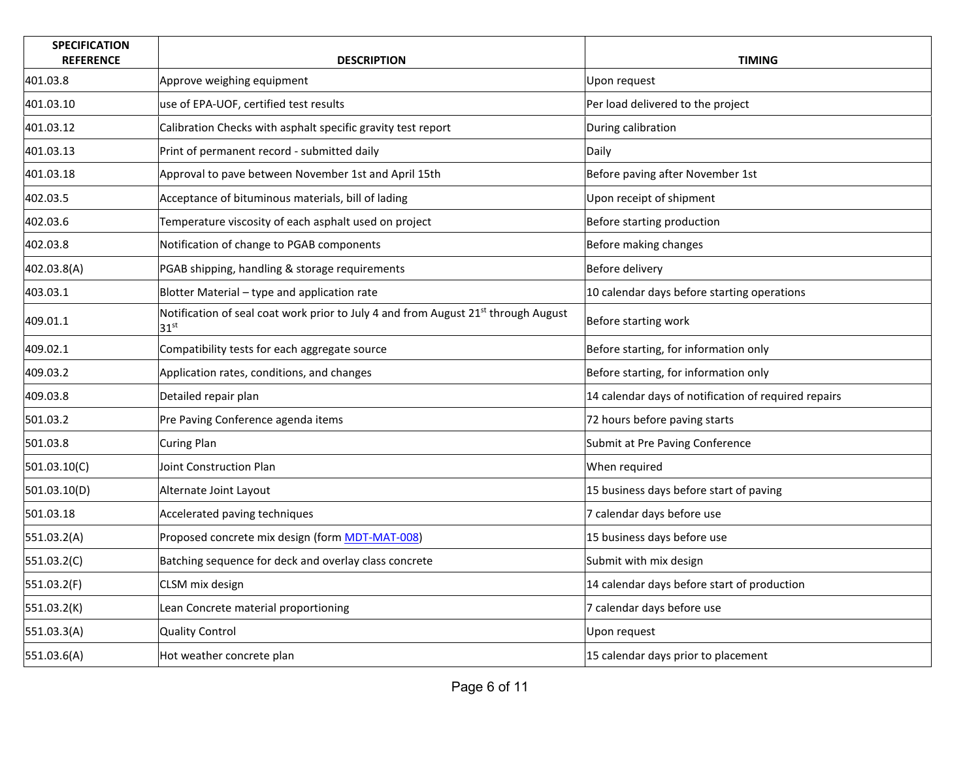| <b>SPECIFICATION</b><br><b>REFERENCE</b> | <b>DESCRIPTION</b>                                                                                                 | <b>TIMING</b>                                        |
|------------------------------------------|--------------------------------------------------------------------------------------------------------------------|------------------------------------------------------|
| 401.03.8                                 | Approve weighing equipment                                                                                         | Upon request                                         |
| 401.03.10                                | use of EPA-UOF, certified test results                                                                             | Per load delivered to the project                    |
| 401.03.12                                | Calibration Checks with asphalt specific gravity test report                                                       | During calibration                                   |
| 401.03.13                                | Print of permanent record - submitted daily                                                                        | Daily                                                |
| 401.03.18                                | Approval to pave between November 1st and April 15th                                                               | Before paving after November 1st                     |
| 402.03.5                                 | Acceptance of bituminous materials, bill of lading                                                                 | Upon receipt of shipment                             |
| 402.03.6                                 | Temperature viscosity of each asphalt used on project                                                              | Before starting production                           |
| 402.03.8                                 | Notification of change to PGAB components                                                                          | Before making changes                                |
| 402.03.8(A)                              | PGAB shipping, handling & storage requirements                                                                     | Before delivery                                      |
| 403.03.1                                 | Blotter Material - type and application rate                                                                       | 10 calendar days before starting operations          |
| 409.01.1                                 | Notification of seal coat work prior to July 4 and from August 21 <sup>st</sup> through August<br>31 <sup>st</sup> | Before starting work                                 |
| 409.02.1                                 | Compatibility tests for each aggregate source                                                                      | Before starting, for information only                |
| 409.03.2                                 | Application rates, conditions, and changes                                                                         | Before starting, for information only                |
| 409.03.8                                 | Detailed repair plan                                                                                               | 14 calendar days of notification of required repairs |
| 501.03.2                                 | Pre Paving Conference agenda items                                                                                 | 72 hours before paving starts                        |
| 501.03.8                                 | Curing Plan                                                                                                        | Submit at Pre Paving Conference                      |
| 501.03.10(C)                             | Joint Construction Plan                                                                                            | When required                                        |
| 501.03.10(D)                             | Alternate Joint Layout                                                                                             | 15 business days before start of paving              |
| 501.03.18                                | Accelerated paving techniques                                                                                      | 7 calendar days before use                           |
| 551.03.2(A)                              | Proposed concrete mix design (form MDT-MAT-008)                                                                    | 15 business days before use                          |
| 551.03.2(C)                              | Batching sequence for deck and overlay class concrete                                                              | Submit with mix design                               |
| 551.03.2(F)                              | CLSM mix design                                                                                                    | 14 calendar days before start of production          |
| 551.03.2(K)                              | Lean Concrete material proportioning                                                                               | 7 calendar days before use                           |
| 551.03.3(A)                              | <b>Quality Control</b>                                                                                             | Upon request                                         |
| 551.03.6(A)                              | Hot weather concrete plan                                                                                          | 15 calendar days prior to placement                  |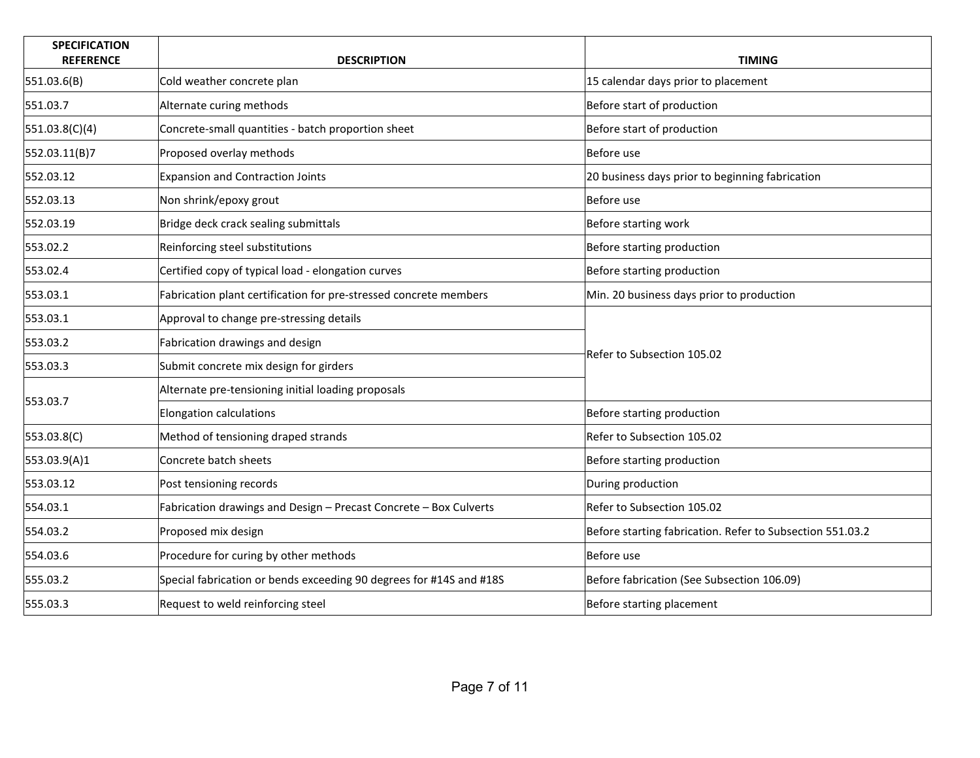| <b>SPECIFICATION</b><br><b>REFERENCE</b> | <b>DESCRIPTION</b>                                                  | <b>TIMING</b>                                             |
|------------------------------------------|---------------------------------------------------------------------|-----------------------------------------------------------|
| 551.03.6(B)                              | Cold weather concrete plan                                          | 15 calendar days prior to placement                       |
| 551.03.7                                 | Alternate curing methods                                            | Before start of production                                |
| 551.03.8(C)(4)                           | Concrete-small quantities - batch proportion sheet                  | Before start of production                                |
| 552.03.11(B)7                            | Proposed overlay methods                                            | Before use                                                |
| 552.03.12                                | <b>Expansion and Contraction Joints</b>                             | 20 business days prior to beginning fabrication           |
| 552.03.13                                | Non shrink/epoxy grout                                              | Before use                                                |
| 552.03.19                                | Bridge deck crack sealing submittals                                | Before starting work                                      |
| 553.02.2                                 | Reinforcing steel substitutions                                     | Before starting production                                |
| 553.02.4                                 | Certified copy of typical load - elongation curves                  | Before starting production                                |
| 553.03.1                                 | Fabrication plant certification for pre-stressed concrete members   | Min. 20 business days prior to production                 |
| 553.03.1                                 | Approval to change pre-stressing details                            |                                                           |
| 553.03.2                                 | Fabrication drawings and design                                     |                                                           |
| 553.03.3                                 | Submit concrete mix design for girders                              | Refer to Subsection 105.02                                |
|                                          | Alternate pre-tensioning initial loading proposals                  |                                                           |
| 553.03.7                                 | <b>Elongation calculations</b>                                      | Before starting production                                |
| 553.03.8(C)                              | Method of tensioning draped strands                                 | Refer to Subsection 105.02                                |
| 553.03.9(A)1                             | Concrete batch sheets                                               | Before starting production                                |
| 553.03.12                                | Post tensioning records                                             | During production                                         |
| 554.03.1                                 | Fabrication drawings and Design - Precast Concrete - Box Culverts   | Refer to Subsection 105.02                                |
| 554.03.2                                 | Proposed mix design                                                 | Before starting fabrication. Refer to Subsection 551.03.2 |
| 554.03.6                                 | Procedure for curing by other methods                               | Before use                                                |
| 555.03.2                                 | Special fabrication or bends exceeding 90 degrees for #14S and #18S | Before fabrication (See Subsection 106.09)                |
| 555.03.3                                 | Request to weld reinforcing steel                                   | Before starting placement                                 |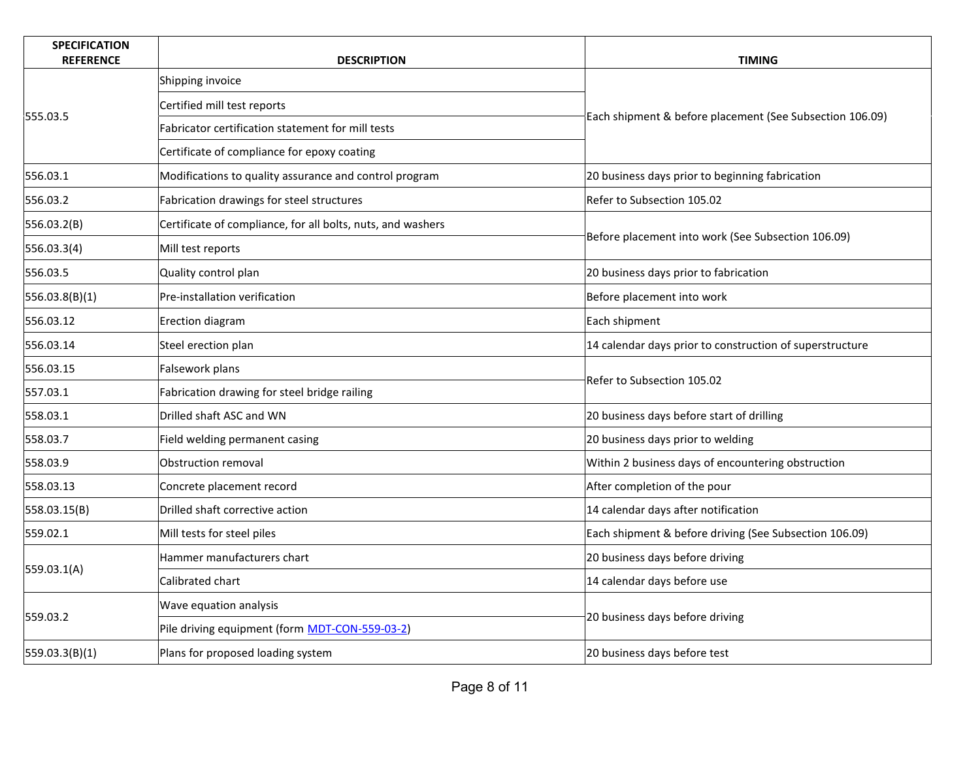| <b>SPECIFICATION</b><br><b>REFERENCE</b> | <b>DESCRIPTION</b>                                          | <b>TIMING</b>                                            |
|------------------------------------------|-------------------------------------------------------------|----------------------------------------------------------|
|                                          | Shipping invoice                                            |                                                          |
|                                          | Certified mill test reports                                 |                                                          |
| 555.03.5                                 | Fabricator certification statement for mill tests           | Each shipment & before placement (See Subsection 106.09) |
|                                          | Certificate of compliance for epoxy coating                 |                                                          |
| 556.03.1                                 | Modifications to quality assurance and control program      | 20 business days prior to beginning fabrication          |
| 556.03.2                                 | Fabrication drawings for steel structures                   | Refer to Subsection 105.02                               |
| 556.03.2(B)                              | Certificate of compliance, for all bolts, nuts, and washers |                                                          |
| 556.03.3(4)                              | Mill test reports                                           | Before placement into work (See Subsection 106.09)       |
| 556.03.5                                 | Quality control plan                                        | 20 business days prior to fabrication                    |
| 556.03.8(B)(1)                           | Pre-installation verification                               | Before placement into work                               |
| 556.03.12                                | Erection diagram                                            | Each shipment                                            |
| 556.03.14                                | Steel erection plan                                         | 14 calendar days prior to construction of superstructure |
| 556.03.15                                | Falsework plans                                             |                                                          |
| 557.03.1                                 | Fabrication drawing for steel bridge railing                | Refer to Subsection 105.02                               |
| 558.03.1                                 | Drilled shaft ASC and WN                                    | 20 business days before start of drilling                |
| 558.03.7                                 | Field welding permanent casing                              | 20 business days prior to welding                        |
| 558.03.9                                 | Obstruction removal                                         | Within 2 business days of encountering obstruction       |
| 558.03.13                                | Concrete placement record                                   | After completion of the pour                             |
| 558.03.15(B)                             | Drilled shaft corrective action                             | 14 calendar days after notification                      |
| 559.02.1                                 | Mill tests for steel piles                                  | Each shipment & before driving (See Subsection 106.09)   |
| 559.03.1(A)                              | Hammer manufacturers chart                                  | 20 business days before driving                          |
|                                          | Calibrated chart                                            | 14 calendar days before use                              |
|                                          | Wave equation analysis                                      |                                                          |
| 559.03.2                                 | Pile driving equipment (form MDT-CON-559-03-2)              | 20 business days before driving                          |
| 559.03.3(B)(1)                           | Plans for proposed loading system                           | 20 business days before test                             |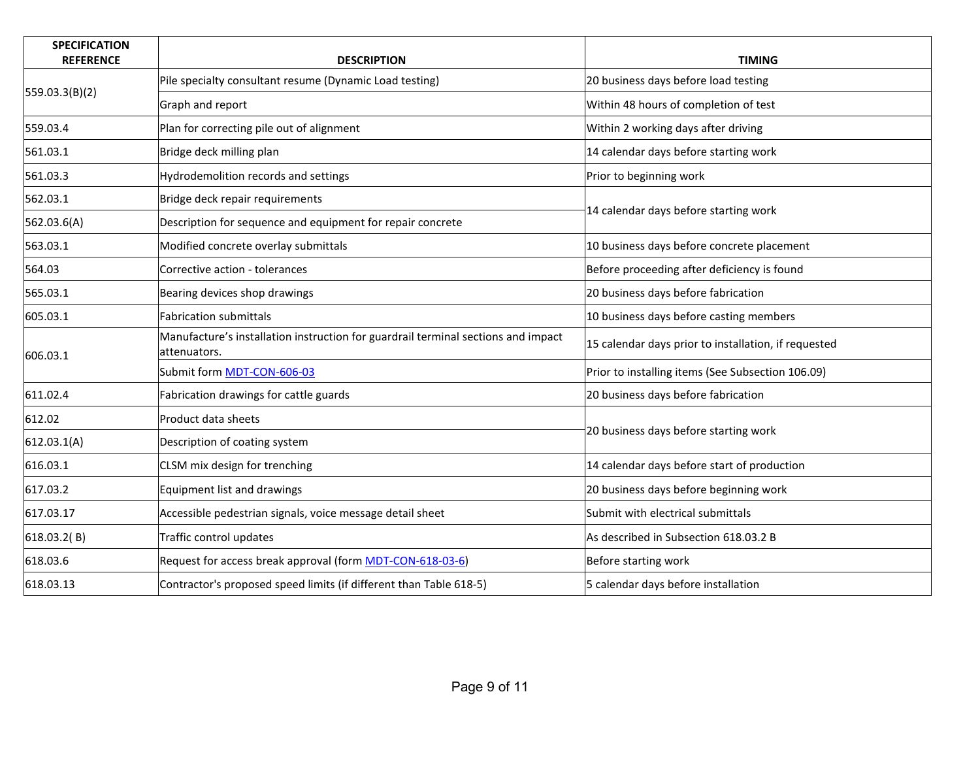| <b>SPECIFICATION</b><br><b>REFERENCE</b> | <b>DESCRIPTION</b>                                                                                | <b>TIMING</b>                                        |
|------------------------------------------|---------------------------------------------------------------------------------------------------|------------------------------------------------------|
|                                          | Pile specialty consultant resume (Dynamic Load testing)                                           | 20 business days before load testing                 |
| 559.03.3(B)(2)                           | Graph and report                                                                                  | Within 48 hours of completion of test                |
| 559.03.4                                 | Plan for correcting pile out of alignment                                                         | Within 2 working days after driving                  |
| 561.03.1                                 | Bridge deck milling plan                                                                          | 14 calendar days before starting work                |
| 561.03.3                                 | Hydrodemolition records and settings                                                              | Prior to beginning work                              |
| 562.03.1                                 | Bridge deck repair requirements                                                                   | 14 calendar days before starting work                |
| 562.03.6(A)                              | Description for sequence and equipment for repair concrete                                        |                                                      |
| 563.03.1                                 | Modified concrete overlay submittals                                                              | 10 business days before concrete placement           |
| 564.03                                   | Corrective action - tolerances                                                                    | Before proceeding after deficiency is found          |
| 565.03.1                                 | Bearing devices shop drawings                                                                     | 20 business days before fabrication                  |
| 605.03.1                                 | <b>Fabrication submittals</b>                                                                     | 10 business days before casting members              |
| 606.03.1                                 | Manufacture's installation instruction for guardrail terminal sections and impact<br>attenuators. | 15 calendar days prior to installation, if requested |
|                                          | Submit form MDT-CON-606-03                                                                        | Prior to installing items (See Subsection 106.09)    |
| 611.02.4                                 | Fabrication drawings for cattle guards                                                            | 20 business days before fabrication                  |
| 612.02                                   | Product data sheets                                                                               | 20 business days before starting work                |
| 612.03.1(A)                              | Description of coating system                                                                     |                                                      |
| 616.03.1                                 | CLSM mix design for trenching                                                                     | 14 calendar days before start of production          |
| 617.03.2                                 | <b>Equipment list and drawings</b>                                                                | 20 business days before beginning work               |
| 617.03.17                                | Accessible pedestrian signals, voice message detail sheet                                         | Submit with electrical submittals                    |
| 618.03.2 $(B)$                           | Traffic control updates                                                                           | As described in Subsection 618.03.2 B                |
| 618.03.6                                 | Request for access break approval (form MDT-CON-618-03-6)                                         | Before starting work                                 |
| 618.03.13                                | Contractor's proposed speed limits (if different than Table 618-5)                                | 5 calendar days before installation                  |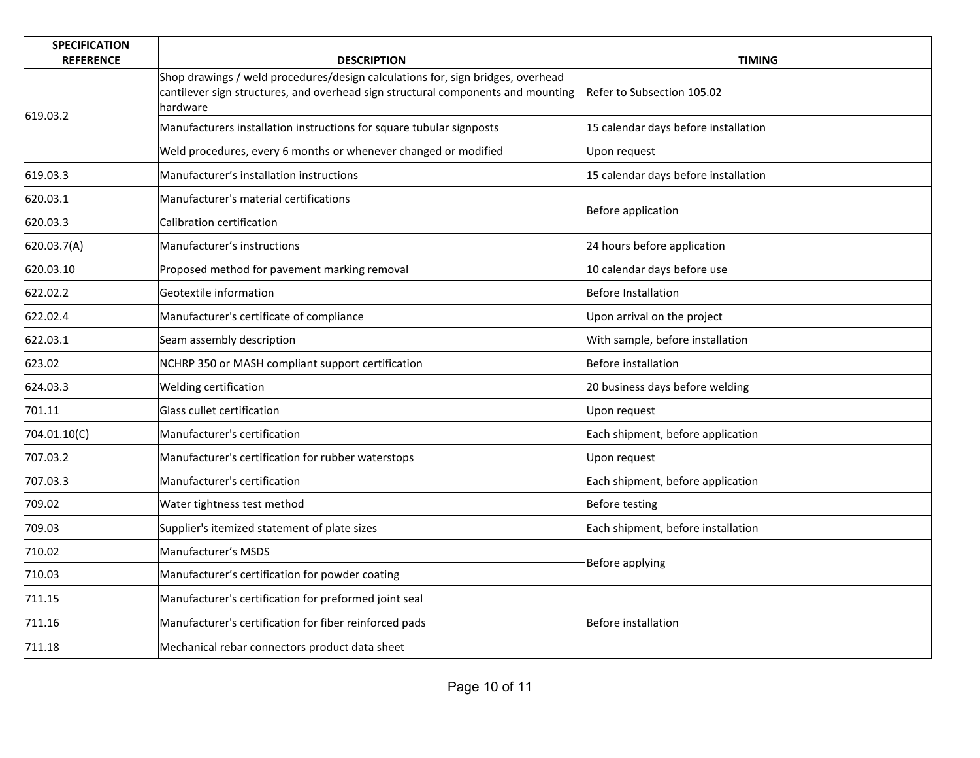| <b>SPECIFICATION</b><br><b>REFERENCE</b> | <b>DESCRIPTION</b>                                                                                                                                                              | <b>TIMING</b>                        |
|------------------------------------------|---------------------------------------------------------------------------------------------------------------------------------------------------------------------------------|--------------------------------------|
|                                          | Shop drawings / weld procedures/design calculations for, sign bridges, overhead<br>cantilever sign structures, and overhead sign structural components and mounting<br>hardware | Refer to Subsection 105.02           |
| 619.03.2                                 | Manufacturers installation instructions for square tubular signposts                                                                                                            | 15 calendar days before installation |
|                                          | Weld procedures, every 6 months or whenever changed or modified                                                                                                                 | Upon request                         |
| 619.03.3                                 | Manufacturer's installation instructions                                                                                                                                        | 15 calendar days before installation |
| 620.03.1                                 | Manufacturer's material certifications                                                                                                                                          |                                      |
| 620.03.3                                 | Calibration certification                                                                                                                                                       | Before application                   |
| 620.03.7(A)                              | Manufacturer's instructions                                                                                                                                                     | 24 hours before application          |
| 620.03.10                                | Proposed method for pavement marking removal                                                                                                                                    | 10 calendar days before use          |
| 622.02.2                                 | Geotextile information                                                                                                                                                          | Before Installation                  |
| 622.02.4                                 | Manufacturer's certificate of compliance                                                                                                                                        | Upon arrival on the project          |
| 622.03.1                                 | Seam assembly description                                                                                                                                                       | With sample, before installation     |
| 623.02                                   | NCHRP 350 or MASH compliant support certification                                                                                                                               | Before installation                  |
| 624.03.3                                 | Welding certification                                                                                                                                                           | 20 business days before welding      |
| 701.11                                   | Glass cullet certification                                                                                                                                                      | Upon request                         |
| 704.01.10(C)                             | Manufacturer's certification                                                                                                                                                    | Each shipment, before application    |
| 707.03.2                                 | Manufacturer's certification for rubber waterstops                                                                                                                              | Upon request                         |
| 707.03.3                                 | Manufacturer's certification                                                                                                                                                    | Each shipment, before application    |
| 709.02                                   | Water tightness test method                                                                                                                                                     | Before testing                       |
| 709.03                                   | Supplier's itemized statement of plate sizes                                                                                                                                    | Each shipment, before installation   |
| 710.02                                   | Manufacturer's MSDS                                                                                                                                                             | Before applying                      |
| 710.03                                   | Manufacturer's certification for powder coating                                                                                                                                 |                                      |
| 711.15                                   | Manufacturer's certification for preformed joint seal                                                                                                                           |                                      |
| 711.16                                   | Manufacturer's certification for fiber reinforced pads                                                                                                                          | Before installation                  |
| 711.18                                   | Mechanical rebar connectors product data sheet                                                                                                                                  |                                      |